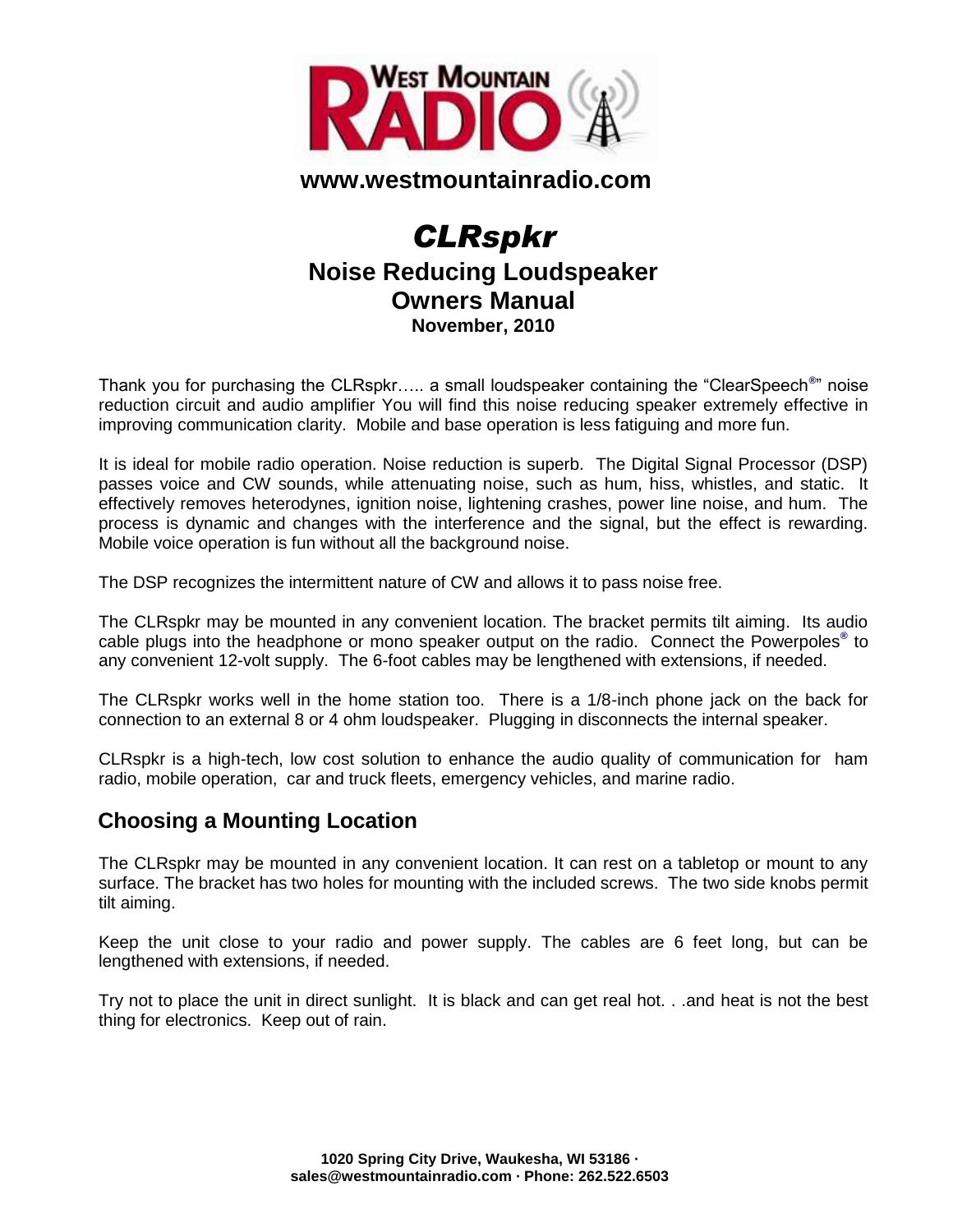

#### **www.westmountainradio.com**

# *CLRspkr* **Noise Reducing Loudspeaker Owners Manual November, 2010**

Thank you for purchasing the CLRspkr….. a small loudspeaker containing the "ClearSpeech**®** " noise reduction circuit and audio amplifier You will find this noise reducing speaker extremely effective in improving communication clarity. Mobile and base operation is less fatiguing and more fun.

It is ideal for mobile radio operation. Noise reduction is superb. The Digital Signal Processor (DSP) passes voice and CW sounds, while attenuating noise, such as hum, hiss, whistles, and static. It effectively removes heterodynes, ignition noise, lightening crashes, power line noise, and hum. The process is dynamic and changes with the interference and the signal, but the effect is rewarding. Mobile voice operation is fun without all the background noise.

The DSP recognizes the intermittent nature of CW and allows it to pass noise free.

The CLRspkr may be mounted in any convenient location. The bracket permits tilt aiming. Its audio cable plugs into the headphone or mono speaker output on the radio. Connect the Powerpoles**®** to any convenient 12-volt supply. The 6-foot cables may be lengthened with extensions, if needed.

The CLRspkr works well in the home station too. There is a 1/8-inch phone jack on the back for connection to an external 8 or 4 ohm loudspeaker. Plugging in disconnects the internal speaker.

CLRspkr is a high-tech, low cost solution to enhance the audio quality of communication for ham radio, mobile operation, car and truck fleets, emergency vehicles, and marine radio.

# **Choosing a Mounting Location**

The CLRspkr may be mounted in any convenient location. It can rest on a tabletop or mount to any surface. The bracket has two holes for mounting with the included screws. The two side knobs permit tilt aiming.

Keep the unit close to your radio and power supply. The cables are 6 feet long, but can be lengthened with extensions, if needed.

Try not to place the unit in direct sunlight. It is black and can get real hot. . .and heat is not the best thing for electronics. Keep out of rain.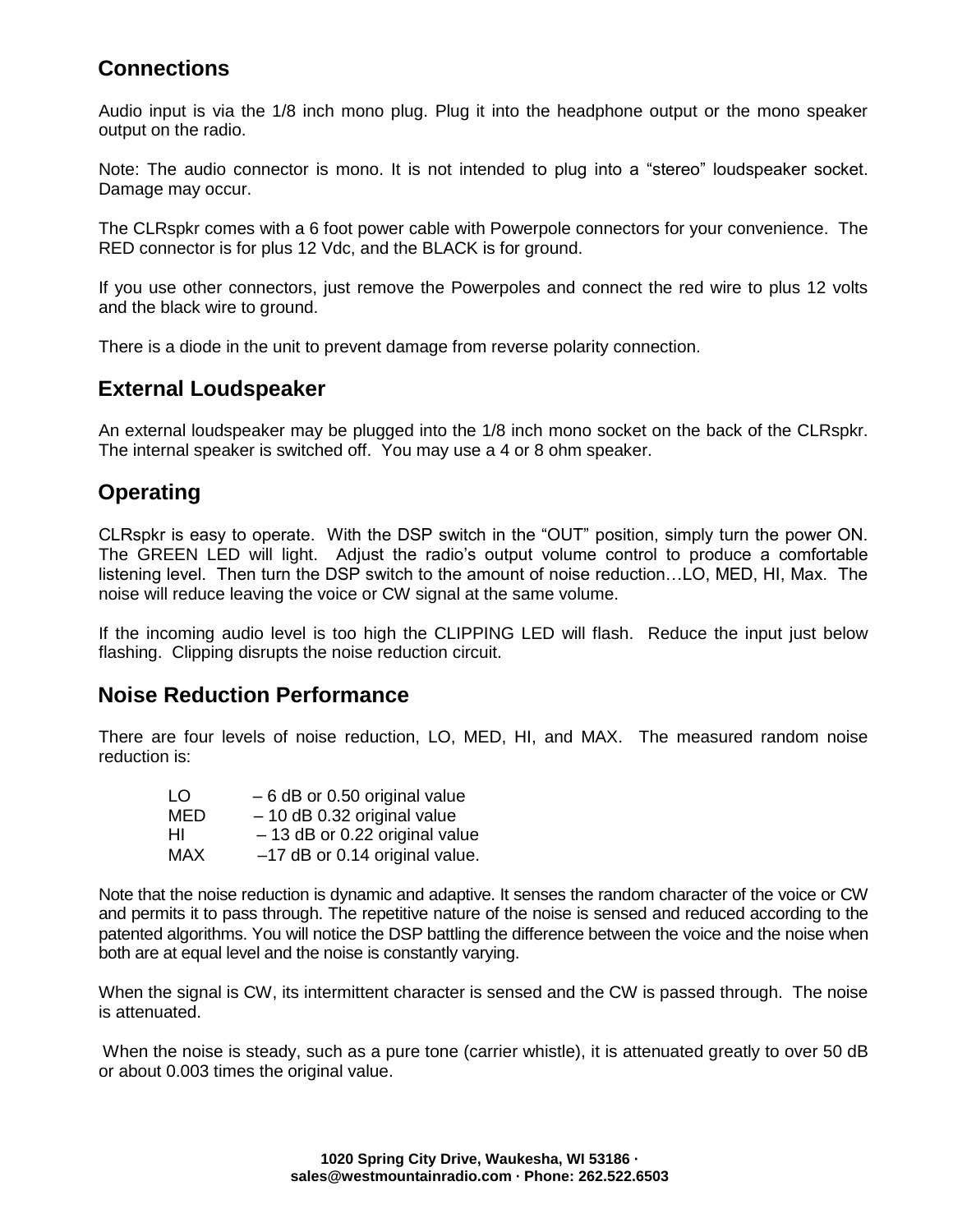# **Connections**

Audio input is via the 1/8 inch mono plug. Plug it into the headphone output or the mono speaker output on the radio.

Note: The audio connector is mono. It is not intended to plug into a "stereo" loudspeaker socket. Damage may occur.

The CLRspkr comes with a 6 foot power cable with Powerpole connectors for your convenience. The RED connector is for plus 12 Vdc, and the BLACK is for ground.

If you use other connectors, just remove the Powerpoles and connect the red wire to plus 12 volts and the black wire to ground.

There is a diode in the unit to prevent damage from reverse polarity connection.

# **External Loudspeaker**

An external loudspeaker may be plugged into the 1/8 inch mono socket on the back of the CLRspkr. The internal speaker is switched off. You may use a 4 or 8 ohm speaker.

# **Operating**

CLRspkr is easy to operate. With the DSP switch in the "OUT" position, simply turn the power ON. The GREEN LED will light. Adjust the radio's output volume control to produce a comfortable listening level. Then turn the DSP switch to the amount of noise reduction…LO, MED, HI, Max. The noise will reduce leaving the voice or CW signal at the same volume.

If the incoming audio level is too high the CLIPPING LED will flash. Reduce the input just below flashing. Clipping disrupts the noise reduction circuit.

### **Noise Reduction Performance**

There are four levels of noise reduction, LO, MED, HI, and MAX. The measured random noise reduction is:

| LO.        | $-6$ dB or 0.50 original value  |
|------------|---------------------------------|
| MED        | $-10$ dB 0.32 original value    |
| ΗI         | $-13$ dB or 0.22 original value |
| <b>MAX</b> | -17 dB or 0.14 original value.  |

Note that the noise reduction is dynamic and adaptive. It senses the random character of the voice or CW and permits it to pass through. The repetitive nature of the noise is sensed and reduced according to the patented algorithms. You will notice the DSP battling the difference between the voice and the noise when both are at equal level and the noise is constantly varying.

When the signal is CW, its intermittent character is sensed and the CW is passed through. The noise is attenuated.

When the noise is steady, such as a pure tone (carrier whistle), it is attenuated greatly to over 50 dB or about 0.003 times the original value.